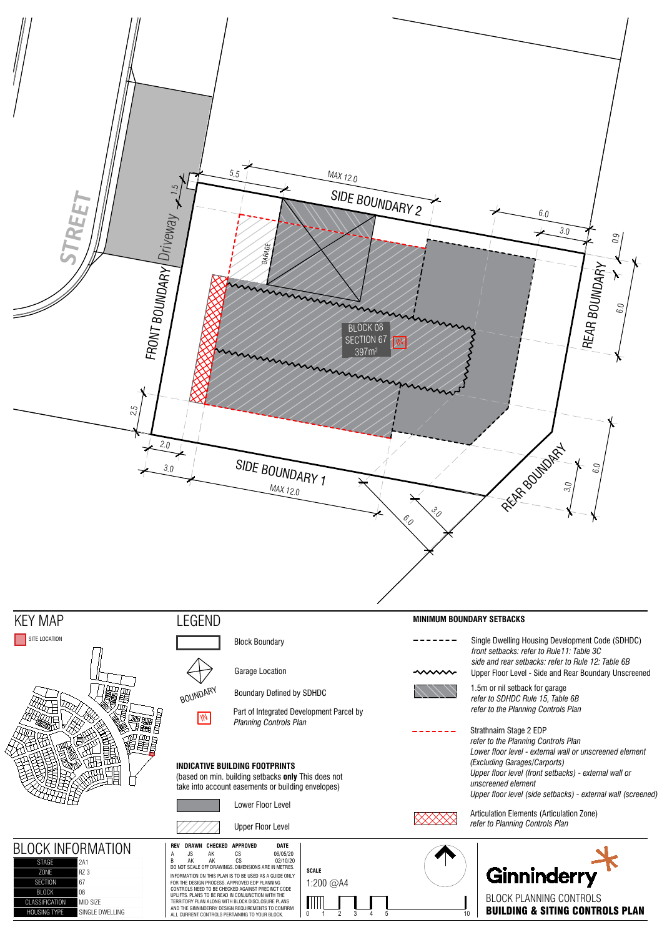